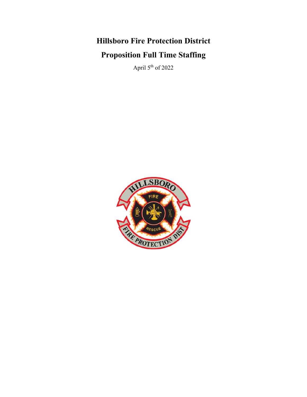# **Hillsboro Fire Protection District Proposition Full Time Staffing**

April  $5^{\rm th}$  of 2022

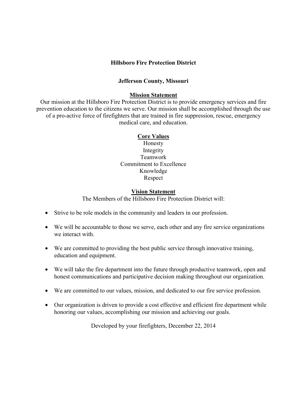#### **Hillsboro Fire Protection District**

#### **Jefferson County, Missouri**

#### **Mission Statement**

Our mission at the Hillsboro Fire Protection District is to provide emergency services and fire prevention education to the citizens we serve. Our mission shall be accomplished through the use of a pro-active force of firefighters that are trained in fire suppression, rescue, emergency medical care, and education.

#### **Core Values**

Honesty Integrity Teamwork Commitment to Excellence Knowledge Respect

#### **Vision Statement**

The Members of the Hillsboro Fire Protection District will:

- Strive to be role models in the community and leaders in our profession.
- We will be accountable to those we serve, each other and any fire service organizations we interact with.
- We are committed to providing the best public service through innovative training, education and equipment.
- We will take the fire department into the future through productive teamwork, open and honest communications and participative decision making throughout our organization.
- We are committed to our values, mission, and dedicated to our fire service profession.
- Our organization is driven to provide a cost effective and efficient fire department while honoring our values, accomplishing our mission and achieving our goals.

Developed by your firefighters, December 22, 2014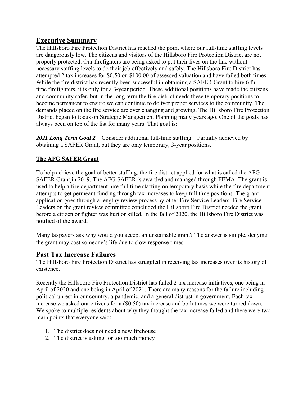# **Executive Summary**

The Hillsboro Fire Protection District has reached the point where our full-time staffing levels are dangerously low. The citizens and visitors of the Hillsboro Fire Protection District are not properly protected. Our firefighters are being asked to put their lives on the line without necessary staffing levels to do their job effectively and safely. The Hillsboro Fire District has attempted 2 tax increases for \$0.50 on \$100.00 of assessed valuation and have failed both times. While the fire district has recently been successful in obtaining a SAFER Grant to hire 6 full time firefighters, it is only for a 3-year period. These additional positions have made the citizens and community safer, but in the long term the fire district needs these temporary positions to become permanent to ensure we can continue to deliver proper services to the community. The demands placed on the fire service are ever changing and growing. The Hillsboro Fire Protection District began to focus on Strategic Management Planning many years ago. One of the goals has always been on top of the list for many years. That goal is:

*2021 Long Term Goal 2* – Consider additional full-time staffing – Partially achieved by obtaining a SAFER Grant, but they are only temporary, 3-year positions.

# **The AFG SAFER Grant**

To help achieve the goal of better staffing, the fire district applied for what is called the AFG SAFER Grant in 2019. The AFG SAFER is awarded and managed through FEMA. The grant is used to help a fire department hire full time staffing on temporary basis while the fire department attempts to get permeant funding through tax increases to keep full time positions. The grant application goes through a lengthy review process by other Fire Service Leaders. Fire Service Leaders on the grant review committee concluded the Hillsboro Fire District needed the grant before a citizen or fighter was hurt or killed. In the fall of 2020, the Hillsboro Fire District was notified of the award.

Many taxpayers ask why would you accept an unstainable grant? The answer is simple, denying the grant may cost someone's life due to slow response times.

# **Past Tax Increase Failures**

The Hillsboro Fire Protection District has struggled in receiving tax increases over its history of existence.

Recently the Hillsboro Fire Protection District has failed 2 tax increase initiatives, one being in April of 2020 and one being in April of 2021. There are many reasons for the failure including political unrest in our country, a pandemic, and a general distrust in government. Each tax increase we asked our citizens for a (\$0.50) tax increase and both times we were turned down. We spoke to multiple residents about why they thought the tax increase failed and there were two main points that everyone said:

- 1. The district does not need a new firehouse
- 2. The district is asking for too much money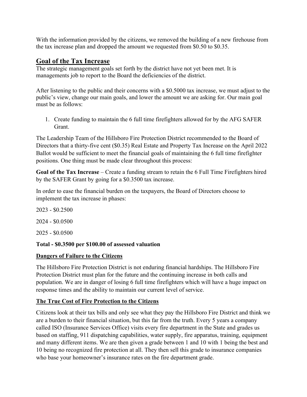With the information provided by the citizens, we removed the building of a new firehouse from the tax increase plan and dropped the amount we requested from \$0.50 to \$0.35.

# **Goal of the Tax Increase**

The strategic management goals set forth by the district have not yet been met. It is managements job to report to the Board the deficiencies of the district.

After listening to the public and their concerns with a \$0.5000 tax increase, we must adjust to the public's view, change our main goals, and lower the amount we are asking for. Our main goal must be as follows:

1. Create funding to maintain the 6 full time firefighters allowed for by the AFG SAFER Grant.

The Leadership Team of the Hillsboro Fire Protection District recommended to the Board of Directors that a thirty-five cent (\$0.35) Real Estate and Property Tax Increase on the April 2022 Ballot would be sufficient to meet the financial goals of maintaining the 6 full time firefighter positions. One thing must be made clear throughout this process:

**Goal of the Tax Increase** – Create a funding stream to retain the 6 Full Time Firefighters hired by the SAFER Grant by going for a \$0.3500 tax increase.

In order to ease the financial burden on the taxpayers, the Board of Directors choose to implement the tax increase in phases:

2023 - \$0.2500 2024 - \$0.0500

2025 - \$0.0500

### **Total - \$0.3500 per \$100.00 of assessed valuation**

### **Dangers of Failure to the Citizens**

The Hillsboro Fire Protection District is not enduring financial hardships. The Hillsboro Fire Protection District must plan for the future and the continuing increase in both calls and population. We are in danger of losing 6 full time firefighters which will have a huge impact on response times and the ability to maintain our current level of service.

### **The True Cost of Fire Protection to the Citizens**

Citizens look at their tax bills and only see what they pay the Hillsboro Fire District and think we are a burden to their financial situation, but this far from the truth. Every 5 years a company called ISO (Insurance Services Office) visits every fire department in the State and grades us based on staffing, 911 dispatching capabilities, water supply, fire apparatus, training, equipment and many different items. We are then given a grade between 1 and 10 with 1 being the best and 10 being no recognized fire protection at all. They then sell this grade to insurance companies who base your homeowner's insurance rates on the fire department grade.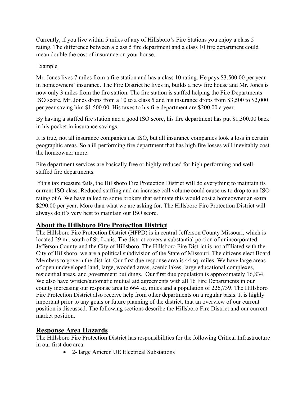Currently, if you live within 5 miles of any of Hillsboro's Fire Stations you enjoy a class 5 rating. The difference between a class 5 fire department and a class 10 fire department could mean double the cost of insurance on your house.

### Example

Mr. Jones lives 7 miles from a fire station and has a class 10 rating. He pays \$3,500.00 per year in homeowners' insurance. The Fire District he lives in, builds a new fire house and Mr. Jones is now only 3 miles from the fire station. The fire station is staffed helping the Fire Departments ISO score. Mr. Jones drops from a 10 to a class 5 and his insurance drops from \$3,500 to \$2,000 per year saving him \$1,500.00. His taxes to his fire department are \$200.00 a year.

By having a staffed fire station and a good ISO score, his fire department has put \$1,300.00 back in his pocket in insurance savings.

It is true, not all insurance companies use ISO, but all insurance companies look a loss in certain geographic areas. So a ill performing fire department that has high fire losses will inevitably cost the homeowner more.

Fire department services are basically free or highly reduced for high performing and wellstaffed fire departments.

If this tax measure fails, the Hillsboro Fire Protection District will do everything to maintain its current ISO class. Reduced staffing and an increase call volume could cause us to drop to an ISO rating of 6. We have talked to some brokers that estimate this would cost a homeowner an extra \$290.00 per year. More than what we are asking for. The Hillsboro Fire Protection District will always do it's very best to maintain our ISO score.

# **About the Hillsboro Fire Protection District**

The Hillsboro Fire Protection District (HFPD) is in central Jefferson County Missouri, which is located 29 mi. south of St. Louis. The district covers a substantial portion of unincorporated Jefferson County and the City of Hillsboro. The Hillsboro Fire District is not affiliated with the City of Hillsboro, we are a political subdivision of the State of Missouri. The citizens elect Board Members to govern the district. Our first due response area is 44 sq. miles. We have large areas of open undeveloped land, large, wooded areas, scenic lakes, large educational complexes, residential areas, and government buildings. Our first due population is approximately 16,834. We also have written/automatic mutual aid agreements with all 16 Fire Departments in our county increasing our response area to 664 sq. miles and a population of 226,739. The Hillsboro Fire Protection District also receive help from other departments on a regular basis. It is highly important prior to any goals or future planning of the district, that an overview of our current position is discussed. The following sections describe the Hillsboro Fire District and our current market position.

# **Response Area Hazards**

The Hillsboro Fire Protection District has responsibilities for the following Critical Infrastructure in our first due area:

• 2- large Ameren UE Electrical Substations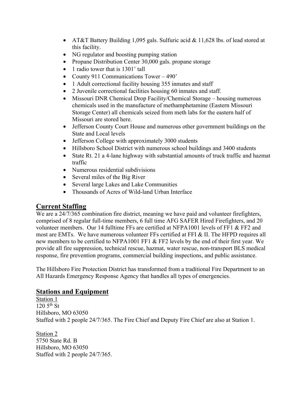- AT&T Battery Building 1,095 gals. Sulfuric acid & 11,628 lbs. of lead stored at this facility.
- NG regulator and boosting pumping station
- Propane Distribution Center 30,000 gals. propane storage
- 1 radio tower that is 1301' tall
- County 911 Communications Tower 490'
- 1 Adult correctional facility housing 355 inmates and staff
- 2 Juvenile correctional facilities housing 60 inmates and staff.
- Missouri DNR Chemical Drop Facility/Chemical Storage housing numerous chemicals used in the manufacture of methamphetamine (Eastern Missouri Storage Center) all chemicals seized from meth labs for the eastern half of Missouri are stored here.
- Jefferson County Court House and numerous other government buildings on the State and Local levels
- Jefferson College with approximately 3000 students
- Hillsboro School District with numerous school buildings and 3400 students
- State Rt. 21 a 4-lane highway with substantial amounts of truck traffic and hazmat traffic
- Numerous residential subdivisions
- Several miles of the Big River
- Several large Lakes and Lake Communities
- Thousands of Acres of Wild-land Urban Interface

# **Current Staffing**

We are a 24/7/365 combination fire district, meaning we have paid and volunteer firefighters, comprised of 8 regular full-time members, 6 full time AFG SAFER Hired Firefighters, and 20 volunteer members. Our 14 fulltime FFs are certified at NFPA1001 levels of FF1 & FF2 and most are EMTs. We have numerous volunteer FFs certified at FFI & II. The HFPD requires all new members to be certified to NFPA1001 FF1 & FF2 levels by the end of their first year. We provide all fire suppression, technical rescue, hazmat, water rescue, non-transport BLS medical response, fire prevention programs, commercial building inspections, and public assistance.

The Hillsboro Fire Protection District has transformed from a traditional Fire Department to an All Hazards Emergency Response Agency that handles all types of emergencies.

# **Stations and Equipment**

Station 1  $120\,5^{th}\,$  St Hillsboro, MO 63050 Staffed with 2 people 24/7/365. The Fire Chief and Deputy Fire Chief are also at Station 1.

Station 2 5750 State Rd. B Hillsboro, MO 63050 Staffed with 2 people 24/7/365.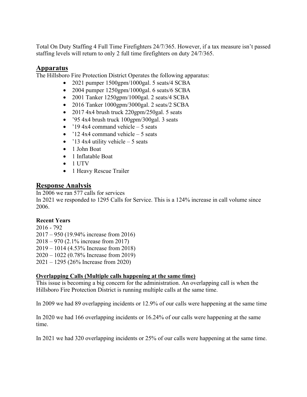Total On Duty Staffing 4 Full Time Firefighters 24/7/365. However, if a tax measure isn't passed staffing levels will return to only 2 full time firefighters on duty 24/7/365.

# **Apparatus**

The Hillsboro Fire Protection District Operates the following apparatus:

- 2021 pumper 1500gpm/1000gal. 5 seats/4 SCBA
- 2004 pumper 1250gpm/1000gal. 6 seats/6 SCBA
- 2001 Tanker 1250gpm/1000gal. 2 seats/4 SCBA
- 2016 Tanker 1000gpm/3000gal. 2 seats/2 SCBA
- 2017 4x4 brush truck  $220$ gpm $/250$ gal. 5 seats
- '95 4x4 brush truck 100gpm/300gal. 3 seats
- $'194x4$  command vehicle 5 seats
- $'12$  4x4 command vehicle 5 seats
- $'134x4$  utility vehicle 5 seats
- 1 John Boat
- 1 Inflatable Boat
- 1 UTV
- 1 Heavy Rescue Trailer

# **Response Analysis**

In 2006 we ran 577 calls for services In 2021 we responded to 1295 Calls for Service. This is a 124% increase in call volume since 2006.

### **Recent Years**

2016 - 792 2017 – 950 (19.94% increase from 2016) 2018 – 970 (2.1% increase from 2017) 2019 – 1014 (4.53% Increase from 2018) 2020 – 1022 (0.78% Increase from 2019) 2021 – 1295 (26% Increase from 2020)

### **Overlapping Calls (Multiple calls happening at the same time)**

This issue is becoming a big concern for the administration. An overlapping call is when the Hillsboro Fire Protection District is running multiple calls at the same time.

In 2009 we had 89 overlapping incidents or 12.9% of our calls were happening at the same time

In 2020 we had 166 overlapping incidents or 16.24% of our calls were happening at the same time.

In 2021 we had 320 overlapping incidents or 25% of our calls were happening at the same time.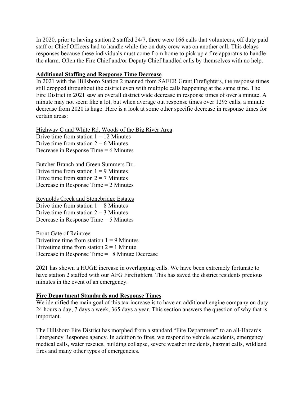In 2020, prior to having station 2 staffed 24/7, there were 166 calls that volunteers, off duty paid staff or Chief Officers had to handle while the on duty crew was on another call. This delays responses because these individuals must come from home to pick up a fire apparatus to handle the alarm. Often the Fire Chief and/or Deputy Chief handled calls by themselves with no help.

#### **Additional Staffing and Response Time Decrease**

In 2021 with the Hillsboro Station 2 manned from SAFER Grant Firefighters, the response times still dropped throughout the district even with multiple calls happening at the same time. The Fire District in 2021 saw an overall district wide decrease in response times of over a minute. A minute may not seem like a lot, but when average out response times over 1295 calls, a minute decrease from 2020 is huge. Here is a look at some other specific decrease in response times for certain areas:

Highway C and White Rd, Woods of the Big River Area Drive time from station  $1 = 12$  Minutes Drive time from station  $2 = 6$  Minutes Decrease in Response Time = 6 Minutes

Butcher Branch and Green Summers Dr. Drive time from station  $1 = 9$  Minutes Drive time from station  $2 = 7$  Minutes Decrease in Response Time = 2 Minutes

Reynolds Creek and Stonebridge Estates Drive time from station  $1 = 8$  Minutes Drive time from station  $2 = 3$  Minutes Decrease in Response Time = 5 Minutes

Front Gate of Raintree Drivetime time from station  $1 = 9$  Minutes Drivetime time from station  $2 = 1$  Minute Decrease in Response Time = 8 Minute Decrease

2021 has shown a HUGE increase in overlapping calls. We have been extremely fortunate to have station 2 staffed with our AFG Firefighters. This has saved the district residents precious minutes in the event of an emergency.

### **Fire Department Standards and Response Times**

We identified the main goal of this tax increase is to have an additional engine company on duty 24 hours a day, 7 days a week, 365 days a year. This section answers the question of why that is important.

The Hillsboro Fire District has morphed from a standard "Fire Department" to an all-Hazards Emergency Response agency. In addition to fires, we respond to vehicle accidents, emergency medical calls, water rescues, building collapse, severe weather incidents, hazmat calls, wildland fires and many other types of emergencies.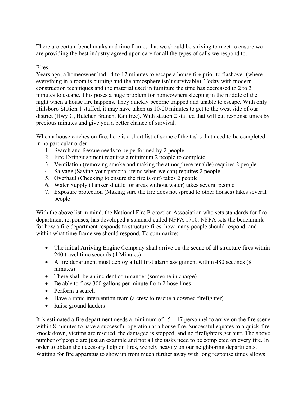There are certain benchmarks and time frames that we should be striving to meet to ensure we are providing the best industry agreed upon care for all the types of calls we respond to.

### Fires

Years ago, a homeowner had 14 to 17 minutes to escape a house fire prior to flashover (where everything in a room is burning and the atmosphere isn't survivable). Today with modern construction techniques and the material used in furniture the time has decreased to 2 to 3 minutes to escape. This poses a huge problem for homeowners sleeping in the middle of the night when a house fire happens. They quickly become trapped and unable to escape. With only Hillsboro Station 1 staffed, it may have taken us 10-20 minutes to get to the west side of our district (Hwy C, Butcher Branch, Raintree). With station 2 staffed that will cut response times by precious minutes and give you a better chance of survival.

When a house catches on fire, here is a short list of some of the tasks that need to be completed in no particular order:

- 1. Search and Rescue needs to be performed by 2 people
- 2. Fire Extinguishment requires a minimum 2 people to complete
- 3. Ventilation (removing smoke and making the atmosphere tenable) requires 2 people
- 4. Salvage (Saving your personal items when we can) requires 2 people
- 5. Overhaul (Checking to ensure the fire is out) takes 2 people
- 6. Water Supply (Tanker shuttle for areas without water) takes several people
- 7. Exposure protection (Making sure the fire does not spread to other houses) takes several people

With the above list in mind, the National Fire Protection Association who sets standards for fire department responses, has developed a standard called NFPA 1710. NFPA sets the benchmark for how a fire department responds to structure fires, how many people should respond, and within what time frame we should respond. To summarize:

- The initial Arriving Engine Company shall arrive on the scene of all structure fires within 240 travel time seconds (4 Minutes)
- A fire department must deploy a full first alarm assignment within 480 seconds (8 minutes)
- There shall be an incident commander (someone in charge)
- Be able to flow 300 gallons per minute from 2 hose lines
- Perform a search
- Have a rapid intervention team (a crew to rescue a downed firefighter)
- Raise ground ladders

It is estimated a fire department needs a minimum of  $15 - 17$  personnel to arrive on the fire scene within 8 minutes to have a successful operation at a house fire. Successful equates to a quick-fire knock down, victims are rescued, the damaged is stopped, and no firefighters get hurt. The above number of people are just an example and not all the tasks need to be completed on every fire. In order to obtain the necessary help on fires, we rely heavily on our neighboring departments. Waiting for fire apparatus to show up from much further away with long response times allows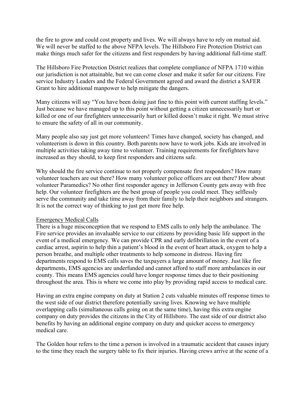the fire to grow and could cost property and lives. We will always have to rely on mutual aid. We will never be staffed to the above NFPA levels. The Hillsboro Fire Protection District can make things much safer for the citizens and first responders by having additional full-time staff.

The Hillsboro Fire Protection District realizes that complete compliance of NFPA 1710 within our jurisdiction is not attainable, but we can come closer and make it safer for our citizens. Fire service Industry Leaders and the Federal Government agreed and award the district a SAFER Grant to hire additional manpower to help mitigate the dangers.

Many citizens will say "You have been doing just fine to this point with current staffing levels." Just because we have managed up to this point without getting a citizen unnecessarily hurt or killed or one of our firefighters unnecessarily hurt or killed doesn't make it right. We must strive to ensure the safety of all in our community.

Many people also say just get more volunteers! Times have changed, society has changed, and volunteerism is down in this country. Both parents now have to work jobs. Kids are involved in multiple activities taking away time to volunteer. Training requirements for firefighters have increased as they should, to keep first responders and citizens safe.

Why should the fire service continue to not properly compensate first responders? How many volunteer teachers are out there? How many volunteer police officers are out there? How about volunteer Paramedics? No other first responder agency in Jefferson County gets away with free help. Our volunteer firefighters are the best group of people you could meet. They selflessly serve the community and take time away from their family to help their neighbors and strangers. It is not the correct way of thinking to just get more free help.

#### Emergency Medical Calls

There is a huge misconception that we respond to EMS calls to only help the ambulance. The Fire service provides an invaluable service to our citizens by providing basic life support in the event of a medical emergency. We can provide CPR and early defibrillation in the event of a cardiac arrest, aspirin to help thin a patient's blood in the event of heart attack, oxygen to help a person breathe, and multiple other treatments to help someone in distress. Having fire departments respond to EMS calls saves the taxpayers a large amount of money. Just like fire departments, EMS agencies are underfunded and cannot afford to staff more ambulances in our county. This means EMS agencies could have longer response times due to their positioning throughout the area. This is where we come into play by providing rapid access to medical care.

Having an extra engine company on duty at Station 2 cuts valuable minutes off response times to the west side of our district therefore potentially saving lives. Knowing we have multiple overlapping calls (simultaneous calls going on at the same time), having this extra engine company on duty provides the citizens in the City of Hillsboro. The east side of our district also benefits by having an additional engine company on duty and quicker access to emergency medical care.

The Golden hour refers to the time a person is involved in a traumatic accident that causes injury to the time they reach the surgery table to fix their injuries. Having crews arrive at the scene of a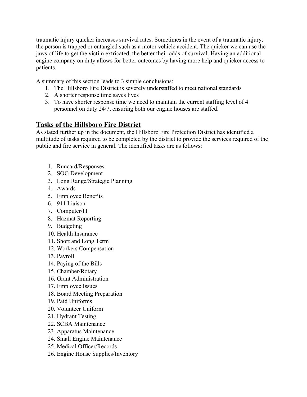traumatic injury quicker increases survival rates. Sometimes in the event of a traumatic injury, the person is trapped or entangled such as a motor vehicle accident. The quicker we can use the jaws of life to get the victim extricated, the better their odds of survival. Having an additional engine company on duty allows for better outcomes by having more help and quicker access to patients.

A summary of this section leads to 3 simple conclusions:

- 1. The Hillsboro Fire District is severely understaffed to meet national standards
- 2. A shorter response time saves lives
- 3. To have shorter response time we need to maintain the current staffing level of 4 personnel on duty 24/7, ensuring both our engine houses are staffed.

# **Tasks of the Hillsboro Fire District**

As stated further up in the document, the Hillsboro Fire Protection District has identified a multitude of tasks required to be completed by the district to provide the services required of the public and fire service in general. The identified tasks are as follows:

- 1. Runcard/Responses
- 2. SOG Development
- 3. Long Range/Strategic Planning
- 4. Awards
- 5. Employee Benefits
- 6. 911 Liaison
- 7. Computer/IT
- 8. Hazmat Reporting
- 9. Budgeting
- 10. Health Insurance
- 11. Short and Long Term
- 12. Workers Compensation
- 13. Payroll
- 14. Paying of the Bills
- 15. Chamber/Rotary
- 16. Grant Administration
- 17. Employee Issues
- 18. Board Meeting Preparation
- 19. Paid Uniforms
- 20. Volunteer Uniform
- 21. Hydrant Testing
- 22. SCBA Maintenance
- 23. Apparatus Maintenance
- 24. Small Engine Maintenance
- 25. Medical Officer/Records
- 26. Engine House Supplies/Inventory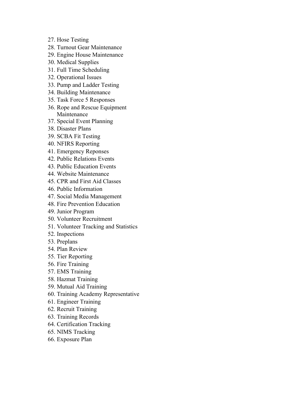- 27. Hose Testing
- 28. Turnout Gear Maintenance
- 29. Engine House Maintenance
- 30. Medical Supplies
- 31. Full Time Scheduling
- 32. Operational Issues
- 33. Pump and Ladder Testing
- 34. Building Maintenance
- 35. Task Force 5 Responses
- 36. Rope and Rescue Equipment Maintenance
- 37. Special Event Planning
- 38. Disaster Plans
- 39. SCBA Fit Testing
- 40. NFIRS Reporting
- 41. Emergency Reponses
- 42. Public Relations Events
- 43. Public Education Events
- 44. Website Maintenance
- 45. CPR and First Aid Classes
- 46. Public Information
- 47. Social Media Management
- 48. Fire Prevention Education
- 49. Junior Program
- 50. Volunteer Recruitment
- 51. Volunteer Tracking and Statistics
- 52. Inspections
- 53. Preplans
- 54. Plan Review
- 55. Tier Reporting
- 56. Fire Training
- 57. EMS Training
- 58. Hazmat Training
- 59. Mutual Aid Training
- 60. Training Academy Representative
- 61. Engineer Training
- 62. Recruit Training
- 63. Training Records
- 64. Certification Tracking
- 65. NIMS Tracking
- 66. Exposure Plan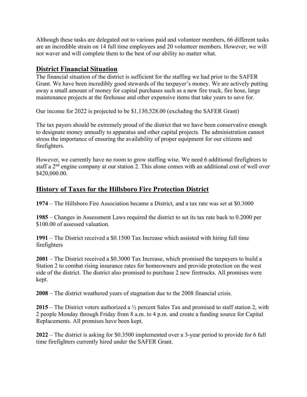Although these tasks are delegated out to various paid and volunteer members, 66 different tasks are an incredible strain on 14 full time employees and 20 volunteer members. However, we will not waver and will complete them to the best of our ability no matter what.

# **District Financial Situation**

The financial situation of the district is sufficient for the staffing we had prior to the SAFER Grant. We have been incredibly good stewards of the taxpayer's money. We are actively putting away a small amount of money for capital purchases such as a new fire truck, fire hose, large maintenance projects at the firehouse and other expensive items that take years to save for.

Our income for 2022 is projected to be \$1,130,528.00 (excluding the SAFER Grant)

The tax payers should be extremely proud of the district that we have been conservative enough to designate money annually to apparatus and other capital projects. The administration cannot stress the importance of ensuring the availability of proper equipment for our citizens and firefighters.

However, we currently have no room to grow staffing wise. We need 6 additional firefighters to staff a 2<sup>nd</sup> engine company at our station 2. This alone comes with an additional cost of well over \$420,000.00.

# **History of Taxes for the Hillsboro Fire Protection District**

**1974** – The Hillsboro Fire Association became a District, and a tax rate was set at \$0.3000

**1985** – Changes in Assessment Laws required the district to set its tax rate back to 0.2000 per \$100.00 of assessed valuation.

**1991** – The District received a \$0.1500 Tax Increase which assisted with hiring full time firefighters

**2001** – The District received a \$0.3000 Tax Increase, which promised the taxpayers to build a Station 2 to combat rising insurance rates for homeowners and provide protection on the west side of the district. The district also promised to purchase 2 new firetrucks. All promises were kept.

**2008** – The district weathered years of stagnation due to the 2008 financial crisis.

**2015** – The District voters authorized a ½ percent Sales Tax and promised to staff station 2, with 2 people Monday through Friday from 8 a.m. to 4 p.m. and create a funding source for Capital Replacements. All promises have been kept.

**2022** – The district is asking for \$0.3500 implemented over a 3-year period to provide for 6 full time firefighters currently hired under the SAFER Grant.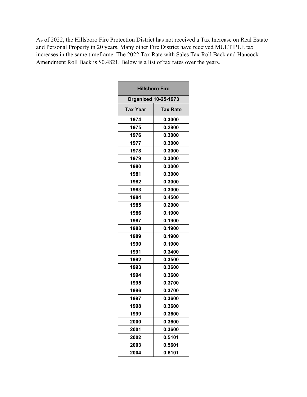As of 2022, the Hillsboro Fire Protection District has not received a Tax Increase on Real Estate and Personal Property in 20 years. Many other Fire District have received MULTIPLE tax increases in the same timeframe. The 2022 Tax Rate with Sales Tax Roll Back and Hancock Amendment Roll Back is \$0.4821. Below is a list of tax rates over the years.

| <b>Hillsboro Fire</b> |                             |  |
|-----------------------|-----------------------------|--|
|                       | <b>Organized 10-25-1973</b> |  |
| Tax Year              | Tax Rate                    |  |
| 1974                  | 0.3000                      |  |
| 1975                  | 0.2800                      |  |
| 1976                  | 0.3000                      |  |
| 1977                  | 0.3000                      |  |
| 1978                  | 0.3000                      |  |
| 1979                  | 0.3000                      |  |
| 1980                  | 0.3000                      |  |
| 1981                  | 0.3000                      |  |
| 1982                  | 0.3000                      |  |
| 1983                  | 0.3000                      |  |
| 1984                  | 0.4500                      |  |
| 1985                  | 0.2000                      |  |
| 1986                  | 0.1900                      |  |
| 1987                  | 0.1900                      |  |
| 1988                  | 0.1900                      |  |
| 1989                  | 0.1900                      |  |
| 1990                  | 0.1900                      |  |
| 1991                  | 0.3400                      |  |
| 1992                  | 0.3500                      |  |
| 1993                  | 0.3600                      |  |
| 1994                  | 0.3600                      |  |
| 1995                  | 0.3700                      |  |
| 1996                  | 0.3700                      |  |
| 1997                  | 0.3600                      |  |
| 1998                  | 0.3600                      |  |
| 1999                  | 0.3600                      |  |
| 2000                  | 0.3600                      |  |
| 2001                  | 0.3600                      |  |
| 2002                  | 0.5101                      |  |
| 2003                  | 0.5601                      |  |
| 2004                  | 0.6101                      |  |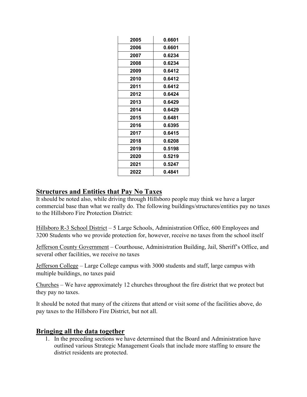| 2005 | 0.6601 |
|------|--------|
| 2006 | 0.6601 |
| 2007 | 0.6234 |
| 2008 | 0.6234 |
| 2009 | 0.6412 |
| 2010 | 0.6412 |
| 2011 | 0.6412 |
| 2012 | 0.6424 |
| 2013 | 0.6429 |
| 2014 | 0.6429 |
| 2015 | 0.6481 |
| 2016 | 0.6395 |
| 2017 | 0.6415 |
| 2018 | 0.6208 |
| 2019 | 0.5198 |
| 2020 | 0.5219 |
| 2021 | 0.5247 |
| 2022 | 0.4841 |

# **Structures and Entities that Pay No Taxes**

It should be noted also, while driving through Hillsboro people may think we have a larger commercial base than what we really do. The following buildings/structures/entities pay no taxes to the Hillsboro Fire Protection District:

Hillsboro R-3 School District – 5 Large Schools, Administration Office, 600 Employees and 3200 Students who we provide protection for, however, receive no taxes from the school itself

Jefferson County Government – Courthouse, Administration Building, Jail, Sheriff's Office, and several other facilities, we receive no taxes

Jefferson College – Large College campus with 3000 students and staff, large campus with multiple buildings, no taxes paid

Churches – We have approximately 12 churches throughout the fire district that we protect but they pay no taxes.

It should be noted that many of the citizens that attend or visit some of the facilities above, do pay taxes to the Hillsboro Fire District, but not all.

### **Bringing all the data together**

1. In the preceding sections we have determined that the Board and Administration have outlined various Strategic Management Goals that include more staffing to ensure the district residents are protected.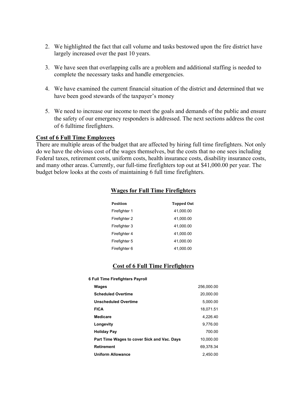- 2. We highlighted the fact that call volume and tasks bestowed upon the fire district have largely increased over the past 10 years.
- 3. We have seen that overlapping calls are a problem and additional staffing is needed to complete the necessary tasks and handle emergencies.
- 4. We have examined the current financial situation of the district and determined that we have been good stewards of the taxpayer's money
- 5. We need to increase our income to meet the goals and demands of the public and ensure the safety of our emergency responders is addressed. The next sections address the cost of 6 fulltime firefighters.

#### **Cost of 6 Full Time Employees**

There are multiple areas of the budget that are affected by hiring full time firefighters. Not only do we have the obvious cost of the wages themselves, but the costs that no one sees including Federal taxes, retirement costs, uniform costs, health insurance costs, disability insurance costs, and many other areas. Currently, our full-time firefighters top out at \$41,000.00 per year. The budget below looks at the costs of maintaining 6 full time firefighters.

#### **Wages for Full Time Firefighters**

| <b>Position</b> | <b>Topped Out</b> |
|-----------------|-------------------|
| Firefighter 1   | 41.000.00         |
| Firefighter 2   | 41,000.00         |
| Firefighter 3   | 41.000.00         |
| Firefighter 4   | 41.000.00         |
| Firefighter 5   | 41.000.00         |
| Firefighter 6   | 41,000.00         |

#### **Cost of 6 Full Time Firefighters**

**6 Full Time Firefighters Payroll**

| Wages                                       | 256,000.00 |
|---------------------------------------------|------------|
| <b>Scheduled Overtime</b>                   | 20.000.00  |
| <b>Unscheduled Overtime</b>                 | 5,000.00   |
| <b>FICA</b>                                 | 18.071.51  |
| Medicare                                    | 4.226.40   |
| Longevity                                   | 9,776.00   |
| <b>Holiday Pay</b>                          | 700.00     |
| Part Time Wages to cover Sick and Vac. Days | 10.000.00  |
| <b>Retirement</b>                           | 69.378.34  |
| <b>Uniform Allowance</b>                    | 2.450.00   |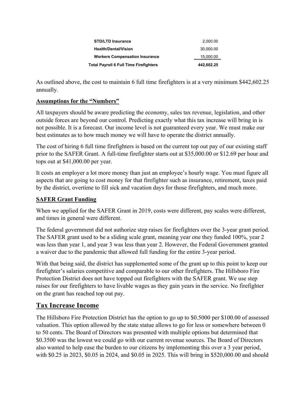| <b>Total Payroll 6 Full Time Firefighters</b> | 442.602.25 |
|-----------------------------------------------|------------|
| <b>Workers Compensation Insurance</b>         | 15,000.00  |
| <b>Health/Dental/Vision</b>                   | 30.000.00  |
| <b>STD/LTD Insurance</b>                      | 2.000.00   |

As outlined above, the cost to maintain 6 full time firefighters is at a very minimum \$442,602.25 annually.

### **Assumptions for the "Numbers"**

All taxpayers should be aware predicting the economy, sales tax revenue, legislation, and other outside forces are beyond our control. Predicting exactly what this tax increase will bring in is not possible. It is a forecast. Our income level is not guaranteed every year. We must make our best estimates as to how much money we will have to operate the district annually.

The cost of hiring 6 full time firefighters is based on the current top out pay of our existing staff prior to the SAFER Grant. A full-time firefighter starts out at \$35,000.00 or \$12.69 per hour and tops out at \$41,000.00 per year.

It costs an employer a lot more money than just an employee's hourly wage. You must figure all aspects that are going to cost money for that firefighter such as insurance, retirement, taxes paid by the district, overtime to fill sick and vacation days for those firefighters, and much more.

### **SAFER Grant Funding**

When we applied for the SAFER Grant in 2019, costs were different, pay scales were different, and times in general were different.

The federal government did not authorize step raises for firefighters over the 3-year grant period. The SAFER grant used to be a sliding scale grant, meaning year one they funded 100%, year 2 was less than year 1, and year 3 was less than year 2. However, the Federal Government granted a waiver due to the pandemic that allowed full funding for the entire 3-year period.

With that being said, the district has supplemented some of the grant up to this point to keep our firefighter's salaries competitive and comparable to our other firefighters. The Hillsboro Fire Protection District does not have topped out firefighters with the SAFER grant. We use step raises for our firefighters to have livable wages as they gain years in the service. No firefighter on the grant has reached top out pay.

# **Tax Increase Income**

The Hillsboro Fire Protection District has the option to go up to \$0.5000 per \$100.00 of assessed valuation. This option allowed by the state statue allows to go for less or somewhere between 0 to 50 cents. The Board of Directors was presented with multiple options but determined that \$0.3500 was the lowest we could go with our current revenue sources. The Board of Directors also wanted to help ease the burden to our citizens by implementing this over a 3 year period, with \$0.25 in 2023, \$0.05 in 2024, and \$0.05 in 2025. This will bring in \$520,000.00 and should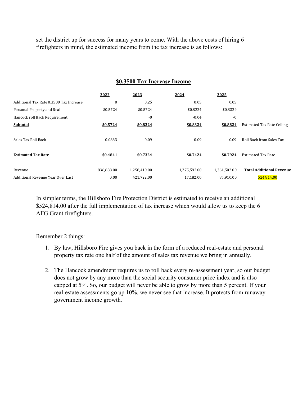set the district up for success for many years to come. With the above costs of hiring 6 firefighters in mind, the estimated income from the tax increase is as follows:

#### **\$0.3500 Tax Increase Income**

|                                         | 2022         | 2023         | 2024         | 2025         |                                   |
|-----------------------------------------|--------------|--------------|--------------|--------------|-----------------------------------|
| Additional Tax Rate 0.3500 Tax Increase | $\mathbf{0}$ | 0.25         | 0.05         | 0.05         |                                   |
| Personal Property and Real              | \$0.5724     | \$0.5724     | \$0.8224     | \$0.8324     |                                   |
| Hancock roll Back Requirement           |              | $-0$         | $-0.04$      | $-0$         |                                   |
| Subtotal                                | \$0.5724     | \$0.8224     | \$0.8324     | \$0.8824     | <b>Estimated Tax Rate Ceiling</b> |
|                                         |              |              |              |              |                                   |
| Sales Tax Roll Back                     | $-0.0883$    | $-0.09$      | $-0.09$      | $-0.09$      | Roll Back from Sales Tax          |
|                                         |              |              |              |              |                                   |
| <b>Estimated Tax Rate</b>               | \$0.4841     | \$0.7324     | \$0.7424     | \$0.7924     | <b>Estimated Tax Rate</b>         |
|                                         |              |              |              |              |                                   |
| Revenue                                 | 836.688.00   | 1,258,410.00 | 1,275,592.00 | 1,361,502.00 | <b>Total Additional Revenue</b>   |
| Additional Revenue Year Over Last       | 0.00         | 421,722.00   | 17,182.00    | 85.910.00    | 524.814.00                        |

In simpler terms, the Hillsboro Fire Protection District is estimated to receive an additional \$524,814.00 after the full implementation of tax increase which would allow us to keep the 6 AFG Grant firefighters.

Remember 2 things:

- 1. By law, Hillsboro Fire gives you back in the form of a reduced real-estate and personal property tax rate one half of the amount of sales tax revenue we bring in annually.
- 2. The Hancock amendment requires us to roll back every re-assessment year, so our budget does not grow by any more than the social security consumer price index and is also capped at 5%. So, our budget will never be able to grow by more than 5 percent. If your real-estate assessments go up 10%, we never see that increase. It protects from runaway government income growth.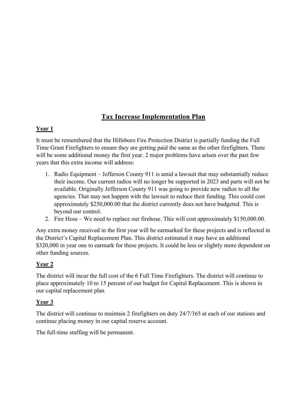# **Tax Increase Implementation Plan**

### **Year 1**

It must be remembered that the Hillsboro Fire Protection District is partially funding the Full Time Grant Firefighters to ensure they are getting paid the same as the other firefighters. There will be some additional money the first year. 2 major problems have arisen over the past few years that this extra income will address:

- 1. Radio Equipment Jefferson County 911 is amid a lawsuit that may substantially reduce their income. Our current radios will no longer be supported in 2023 and parts will not be available. Originally Jefferson County 911 was going to provide new radios to all the agencies. That may not happen with the lawsuit to reduce their funding. This could cost approximately \$250,000.00 that the district currently does not have budgeted. This is beyond our control.
- 2. Fire Hose We need to replace our firehose. This will cost approximately \$150,000.00.

Any extra money received in the first year will be earmarked for these projects and is reflected in the District's Capital Replacement Plan. This district estimated it may have an additional \$320,000 in year one to earmark for these projects. It could be less or slightly more dependent on other funding sources.

# **Year 2**

The district will incur the full cost of the 6 Full Time Firefighters. The district will continue to place approximately 10 to 15 percent of our budget for Capital Replacement. This is shown in our capital replacement plan

# **Year 3**

The district will continue to maintain 2 firefighters on duty 24/7/365 at each of our stations and continue placing money in our capital reserve account.

The full-time staffing will be permanent.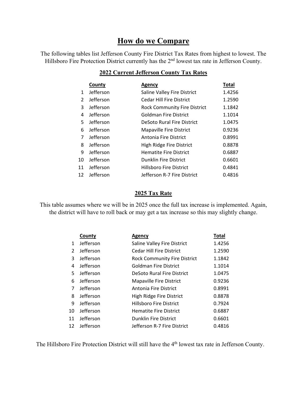# **How do we Compare**

The following tables list Jefferson County Fire District Tax Rates from highest to lowest. The Hillsboro Fire Protection District currently has the 2<sup>nd</sup> lowest tax rate in Jefferson County.

|               | County    | Agency                              | Total  |
|---------------|-----------|-------------------------------------|--------|
| $\mathbf{1}$  | Jefferson | Saline Valley Fire District         | 1.4256 |
| $\mathcal{P}$ | Jefferson | <b>Cedar Hill Fire District</b>     | 1.2590 |
| 3             | Jefferson | <b>Rock Community Fire District</b> | 1.1842 |
| 4             | Jefferson | Goldman Fire District               | 1.1014 |
| 5             | Jefferson | DeSoto Rural Fire District          | 1.0475 |
| 6             | Jefferson | <b>Mapaville Fire District</b>      | 0.9236 |
| 7             | Jefferson | Antonia Fire District               | 0.8991 |
| 8             | Jefferson | High Ridge Fire District            | 0.8878 |
| 9             | Jefferson | <b>Hematite Fire District</b>       | 0.6887 |
| 10            | Jefferson | <b>Dunklin Fire District</b>        | 0.6601 |
| 11            | Jefferson | <b>Hillsboro Fire District</b>      | 0.4841 |
| 12            | Jefferson | Jefferson R-7 Fire District         | 0.4816 |
|               |           |                                     |        |

# **2022 Current Jefferson County Tax Rates**

#### **2025 Tax Rate**

This table assumes where we will be in 2025 once the full tax increase is implemented. Again, the district will have to roll back or may get a tax increase so this may slightly change.

|    | County    | <b>Agency</b>                       | Total  |
|----|-----------|-------------------------------------|--------|
| 1  | Jefferson | Saline Valley Fire District         | 1.4256 |
| 2  | Jefferson | <b>Cedar Hill Fire District</b>     | 1.2590 |
| 3  | Jefferson | <b>Rock Community Fire District</b> | 1.1842 |
| 4  | Jefferson | <b>Goldman Fire District</b>        | 1.1014 |
| 5. | Jefferson | DeSoto Rural Fire District          | 1.0475 |
| 6  | Jefferson | <b>Mapaville Fire District</b>      | 0.9236 |
| 7  | Jefferson | Antonia Fire District               | 0.8991 |
| 8  | Jefferson | High Ridge Fire District            | 0.8878 |
| 9  | Jefferson | <b>Hillsboro Fire District</b>      | 0.7924 |
| 10 | Jefferson | <b>Hematite Fire District</b>       | 0.6887 |
| 11 | Jefferson | <b>Dunklin Fire District</b>        | 0.6601 |
| 12 | Jefferson | Jefferson R-7 Fire District         | 0.4816 |

The Hillsboro Fire Protection District will still have the 4<sup>th</sup> lowest tax rate in Jefferson County.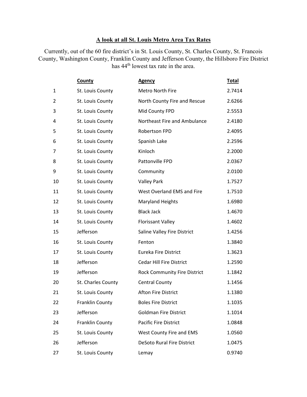### **A look at all St. Louis Metro Area Tax Rates**

Currently, out of the 60 fire district's in St. Louis County, St. Charles County, St. Francois County, Washington County, Franklin County and Jefferson County, the Hillsboro Fire District has 44<sup>th</sup> lowest tax rate in the area.

|                | <b>County</b>      | <b>Agency</b>                       | <b>Total</b> |
|----------------|--------------------|-------------------------------------|--------------|
| $\mathbf{1}$   | St. Louis County   | Metro North Fire                    | 2.7414       |
| $\overline{2}$ | St. Louis County   | North County Fire and Rescue        | 2.6266       |
| 3              | St. Louis County   | Mid County FPD                      | 2.5553       |
| 4              | St. Louis County   | Northeast Fire and Ambulance        | 2.4180       |
| 5              | St. Louis County   | Robertson FPD                       | 2.4095       |
| 6              | St. Louis County   | Spanish Lake                        | 2.2596       |
| 7              | St. Louis County   | Kinloch                             | 2.2000       |
| 8              | St. Louis County   | Pattonville FPD                     | 2.0367       |
| 9              | St. Louis County   | Community                           | 2.0100       |
| 10             | St. Louis County   | <b>Valley Park</b>                  | 1.7527       |
| 11             | St. Louis County   | West Overland EMS and Fire          | 1.7510       |
| 12             | St. Louis County   | <b>Maryland Heights</b>             | 1.6980       |
| 13             | St. Louis County   | <b>Black Jack</b>                   | 1.4670       |
| 14             | St. Louis County   | <b>Florissant Valley</b>            | 1.4602       |
| 15             | Jefferson          | Saline Valley Fire District         | 1.4256       |
| 16             | St. Louis County   | Fenton                              | 1.3840       |
| 17             | St. Louis County   | Eureka Fire District                | 1.3623       |
| 18             | Jefferson          | <b>Cedar Hill Fire District</b>     | 1.2590       |
| 19             | Jefferson          | <b>Rock Community Fire District</b> | 1.1842       |
| 20             | St. Charles County | <b>Central County</b>               | 1.1456       |
| 21             | St. Louis County   | <b>Afton Fire District</b>          | 1.1380       |
| 22             | Franklin County    | <b>Boles Fire District</b>          | 1.1035       |
| 23             | Jefferson          | <b>Goldman Fire District</b>        | 1.1014       |
| 24             | Franklin County    | <b>Pacific Fire District</b>        | 1.0848       |
| 25             | St. Louis County   | West County Fire and EMS            | 1.0560       |
| 26             | Jefferson          | <b>DeSoto Rural Fire District</b>   | 1.0475       |
| 27             | St. Louis County   | Lemay                               | 0.9740       |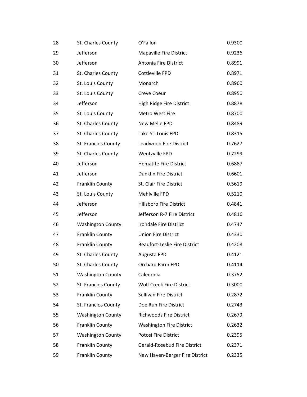| 28 | St. Charles County       | O'Fallon                             | 0.9300 |
|----|--------------------------|--------------------------------------|--------|
| 29 | Jefferson                | <b>Mapaville Fire District</b>       | 0.9236 |
| 30 | Jefferson                | Antonia Fire District                | 0.8991 |
| 31 | St. Charles County       | Cottleville FPD                      | 0.8971 |
| 32 | St. Louis County         | Monarch                              | 0.8960 |
| 33 | St. Louis County         | Creve Coeur                          | 0.8950 |
| 34 | Jefferson                | High Ridge Fire District             | 0.8878 |
| 35 | St. Louis County         | Metro West Fire                      | 0.8700 |
| 36 | St. Charles County       | New Melle FPD                        | 0.8489 |
| 37 | St. Charles County       | Lake St. Louis FPD                   | 0.8315 |
| 38 | St. Francios County      | Leadwood Fire District               | 0.7627 |
| 39 | St. Charles County       | Wentzville FPD                       | 0.7299 |
| 40 | Jefferson                | <b>Hematite Fire District</b>        | 0.6887 |
| 41 | Jefferson                | Dunklin Fire District                | 0.6601 |
| 42 | Franklin County          | St. Clair Fire District              | 0.5619 |
| 43 | St. Louis County         | Mehlville FPD                        | 0.5210 |
| 44 | Jefferson                | <b>Hillsboro Fire District</b>       | 0.4841 |
| 45 | Jefferson                | Jefferson R-7 Fire District          | 0.4816 |
| 46 | <b>Washington County</b> | Irondale Fire District               | 0.4747 |
| 47 | Franklin County          | Union Fire District                  | 0.4330 |
| 48 | Franklin County          | <b>Beaufort-Leslie Fire District</b> | 0.4208 |
| 49 | St. Charles County       | Augusta FPD                          | 0.4121 |
| 50 | St. Charles County       | Orchard Farm FPD                     | 0.4114 |
| 51 | <b>Washington County</b> | Caledonia                            | 0.3752 |
| 52 | St. Francios County      | <b>Wolf Creek Fire District</b>      | 0.3000 |
| 53 | Franklin County          | Sullivan Fire District               | 0.2872 |
| 54 | St. Francios County      | Doe Run Fire District                | 0.2743 |
| 55 | <b>Washington County</b> | Richwoods Fire District              | 0.2679 |
| 56 | Franklin County          | <b>Washington Fire District</b>      | 0.2632 |
| 57 | <b>Washington County</b> | Potosi Fire District                 | 0.2395 |
| 58 | Franklin County          | Gerald-Rosebud Fire District         | 0.2371 |
| 59 | Franklin County          | New Haven-Berger Fire District       | 0.2335 |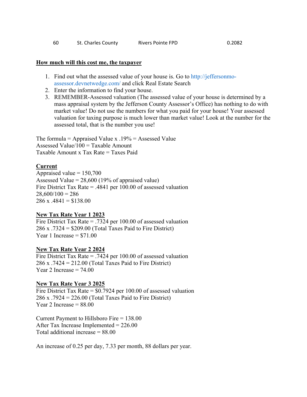| 60 | St. Charles County | Rivers Pointe FPD | 0.2082 |
|----|--------------------|-------------------|--------|
|----|--------------------|-------------------|--------|

#### **How much will this cost me, the taxpayer**

- 1. Find out what the assessed value of your house is. Go to http://jeffersonmoassessor.devnetwedge.com/ and click Real Estate Search
- 2. Enter the information to find your house.
- 3. REMEMBER-Assessed valuation (The assessed value of your house is determined by a mass appraisal system by the Jefferson County Assessor's Office) has nothing to do with market value! Do not use the numbers for what you paid for your house! Your assessed valuation for taxing purpose is much lower than market value! Look at the number for the assessed total, that is the number you use!

The formula = Appraised Value x  $.19\%$  = Assessed Value Assessed Value/100 = Taxable Amount Taxable Amount x Tax Rate = Taxes Paid

#### **Current**

Appraised value  $= 150,700$ Assessed Value =  $28,600$  (19% of appraised value) Fire District Tax Rate = .4841 per 100.00 of assessed valuation  $28,600/100 = 286$  $286 \text{ x } .4841 = $138.00$ 

#### **New Tax Rate Year 1 2023**

Fire District Tax Rate = .7324 per 100.00 of assessed valuation 286 x .7324 = \$209.00 (Total Taxes Paid to Fire District) Year 1 Increase  $= $71.00$ 

#### **New Tax Rate Year 2 2024**

Fire District Tax Rate = .7424 per 100.00 of assessed valuation 286 x .7424 = 212.00 (Total Taxes Paid to Fire District) Year 2 Increase  $= 74.00$ 

#### **New Tax Rate Year 3 2025**

Fire District Tax Rate = \$0.7924 per 100.00 of assessed valuation 286 x .7924 = 226.00 (Total Taxes Paid to Fire District) Year 2 Increase  $= 88.00$ 

Current Payment to Hillsboro Fire = 138.00 After Tax Increase Implemented = 226.00 Total additional increase = 88.00

An increase of 0.25 per day, 7.33 per month, 88 dollars per year.